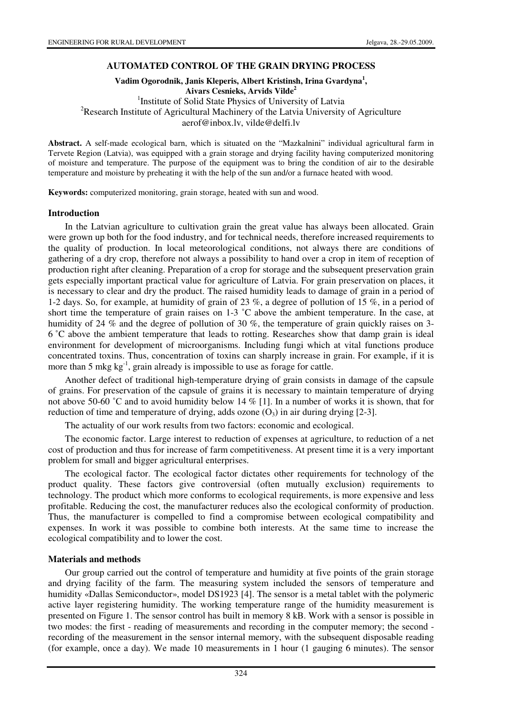### **AUTOMATED CONTROL OF THE GRAIN DRYING PROCESS**

**Vadim Ogorodnik, Janis Kleperis, Albert Kristinsh, Irina Gvardyna<sup>1</sup> , Aivars Cesnieks, Arvids Vilde<sup>2</sup>** <sup>1</sup>Institute of Solid State Physics of University of Latvia <sup>2</sup>Research Institute of Agricultural Machinery of the Latvia University of Agriculture aerof@inbox.lv, vilde@delfi.lv

**Abstract.** A self-made ecological barn, which is situated on the "Mazkalnini" individual agricultural farm in Tervete Region (Latvia), was equipped with a grain storage and drying facility having computerized monitoring of moisture and temperature. The purpose of the equipment was to bring the condition of air to the desirable temperature and moisture by preheating it with the help of the sun and/or a furnace heated with wood.

**Keywords:** computerized monitoring, grain storage, heated with sun and wood.

#### **Introduction**

In the Latvian agriculture to cultivation grain the great value has always been allocated. Grain were grown up both for the food industry, and for technical needs, therefore increased requirements to the quality of production. In local meteorological conditions, not always there are conditions of gathering of a dry crop, therefore not always a possibility to hand over a crop in item of reception of production right after cleaning. Preparation of a crop for storage and the subsequent preservation grain gets especially important practical value for agriculture of Latvia. For grain preservation on places, it is necessary to clear and dry the product. The raised humidity leads to damage of grain in a period of 1-2 days. So, for example, at humidity of grain of 23 %, a degree of pollution of 15 %, in a period of short time the temperature of grain raises on 1-3 ˚C above the ambient temperature. In the case, at humidity of 24 % and the degree of pollution of 30 %, the temperature of grain quickly raises on 3-6 ˚C above the ambient temperature that leads to rotting. Researches show that damp grain is ideal environment for development of microorganisms. Including fungi which at vital functions produce concentrated toxins. Thus, concentration of toxins can sharply increase in grain. For example, if it is more than 5 mkg  $kg^{-1}$ , grain already is impossible to use as forage for cattle.

Another defect of traditional high-temperature drying of grain consists in damage of the capsule of grains. For preservation of the capsule of grains it is necessary to maintain temperature of drying not above 50-60 °C and to avoid humidity below 14 % [1]. In a number of works it is shown, that for reduction of time and temperature of drying, adds ozone  $(O_3)$  in air during drying [2-3].

The actuality of our work results from two factors: economic and ecological.

The economic factor. Large interest to reduction of expenses at agriculture, to reduction of a net cost of production and thus for increase of farm competitiveness. At present time it is a very important problem for small and bigger agricultural enterprises.

The ecological factor. The ecological factor dictates other requirements for technology of the product quality. These factors give controversial (often mutually exclusion) requirements to technology. The product which more conforms to ecological requirements, is more expensive and less profitable. Reducing the cost, the manufacturer reduces also the ecological conformity of production. Thus, the manufacturer is compelled to find a compromise between ecological compatibility and expenses. In work it was possible to combine both interests. At the same time to increase the ecological compatibility and to lower the cost.

### **Materials and methods**

Our group carried out the control of temperature and humidity at five points of the grain storage and drying facility of the farm. The measuring system included the sensors of temperature and humidity «Dallas Semiconductor», model DS1923 [4]. The sensor is a metal tablet with the polymeric active layer registering humidity. The working temperature range of the humidity measurement is presented on Figure 1. The sensor control has built in memory 8 kB. Work with a sensor is possible in two modes: the first - reading of measurements and recording in the computer memory; the second recording of the measurement in the sensor internal memory, with the subsequent disposable reading (for example, once a day). We made 10 measurements in 1 hour (1 gauging 6 minutes). The sensor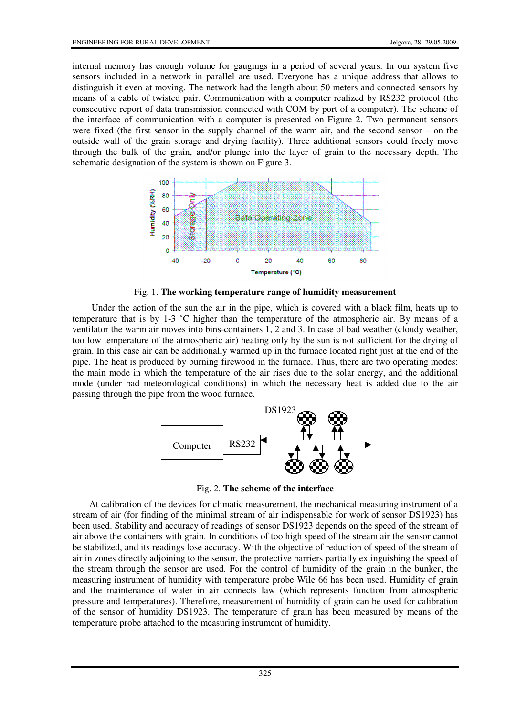internal memory has enough volume for gaugings in a period of several years. In our system five sensors included in a network in parallel are used. Everyone has a unique address that allows to distinguish it even at moving. The network had the length about 50 meters and connected sensors by means of a cable of twisted pair. Communication with a computer realized by RS232 protocol (the consecutive report of data transmission connected with COM by port of a computer). The scheme of the interface of communication with a computer is presented on Figure 2. Two permanent sensors were fixed (the first sensor in the supply channel of the warm air, and the second sensor – on the outside wall of the grain storage and drying facility). Three additional sensors could freely move through the bulk of the grain, and/or plunge into the layer of grain to the necessary depth. The schematic designation of the system is shown on Figure 3.



Fig. 1. **The working temperature range of humidity measurement** 

Under the action of the sun the air in the pipe, which is covered with a black film, heats up to temperature that is by 1-3 ˚C higher than the temperature of the atmospheric air. By means of a ventilator the warm air moves into bins-containers 1, 2 and 3. In case of bad weather (cloudy weather, too low temperature of the atmospheric air) heating only by the sun is not sufficient for the drying of grain. In this case air can be additionally warmed up in the furnace located right just at the end of the pipe. The heat is produced by burning firewood in the furnace. Thus, there are two operating modes: the main mode in which the temperature of the air rises due to the solar energy, and the additional mode (under bad meteorological conditions) in which the necessary heat is added due to the air passing through the pipe from the wood furnace.



Fig. 2. **The scheme of the interface** 

At calibration of the devices for climatic measurement, the mechanical measuring instrument of a stream of air (for finding of the minimal stream of air indispensable for work of sensor DS1923) has been used. Stability and accuracy of readings of sensor DS1923 depends on the speed of the stream of air above the containers with grain. In conditions of too high speed of the stream air the sensor cannot be stabilized, and its readings lose accuracy. With the objective of reduction of speed of the stream of air in zones directly adjoining to the sensor, the protective barriers partially extinguishing the speed of the stream through the sensor are used. For the control of humidity of the grain in the bunker, the measuring instrument of humidity with temperature probe Wile 66 has been used. Humidity of grain and the maintenance of water in air connects law (which represents function from atmospheric pressure and temperatures). Therefore, measurement of humidity of grain can be used for calibration of the sensor of humidity DS1923. The temperature of grain has been measured by means of the temperature probe attached to the measuring instrument of humidity.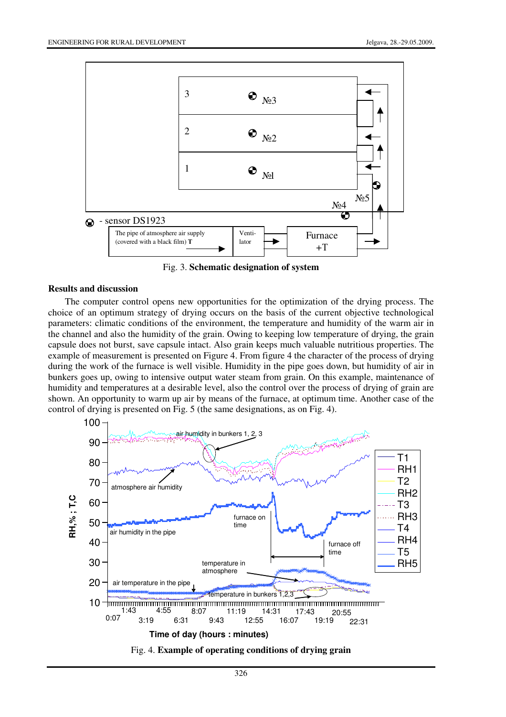

Fig. 3. **Schematic designation of system**

### **Results and discussion**

The computer control opens new opportunities for the optimization of the drying process. The choice of an optimum strategy of drying occurs on the basis of the current objective technological parameters: climatic conditions of the environment, the temperature and humidity of the warm air in the channel and also the humidity of the grain. Owing to keeping low temperature of drying, the grain capsule does not burst, save capsule intact. Also grain keeps much valuable nutritious properties. The example of measurement is presented on Figure 4. From figure 4 the character of the process of drying during the work of the furnace is well visible. Humidity in the pipe goes down, but humidity of air in bunkers goes up, owing to intensive output water steam from grain. On this example, maintenance of humidity and temperatures at a desirable level, also the control over the process of drying of grain are shown. An opportunity to warm up air by means of the furnace, at optimum time. Another case of the control of drying is presented on Fig. 5 (the same designations, as on Fig. 4).